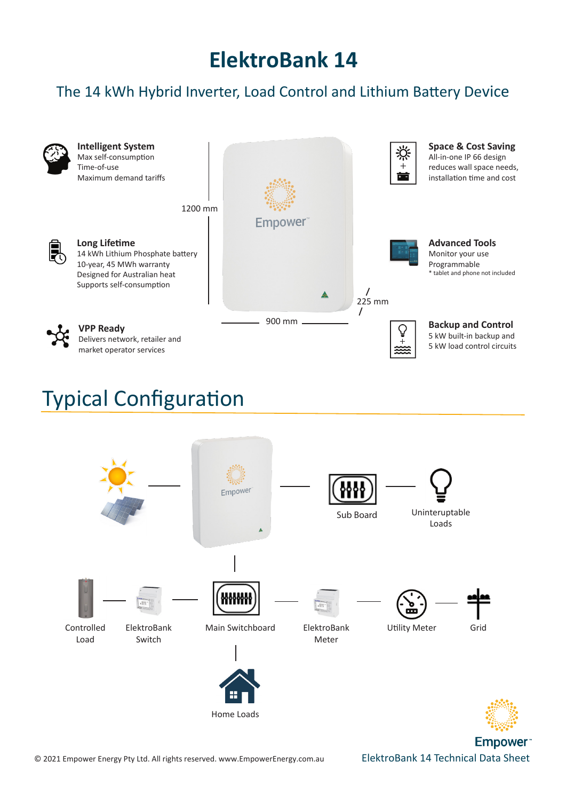## **ElektroBank 14**

## The 14 kWh Hybrid Inverter, Load Control and Lithium Battery Device



## Typical Configuration



Empower<sup>®</sup>